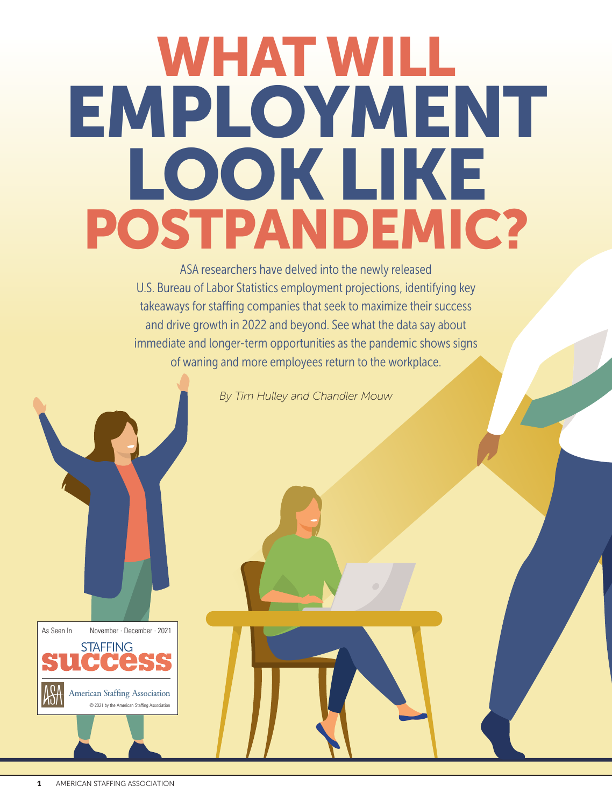# WHAT WILL EMPLOYMENT LOOK LIKE POSTPANDEMIC?

ASA researchers have delved into the newly released U.S. Bureau of Labor Statistics employment projections, identifying key takeaways for staffing companies that seek to maximize their success and drive growth in 2022 and beyond. See what the data say about immediate and longer-term opportunities as the pandemic shows signs of waning and more employees return to the workplace.

*By Tim Hulley and Chandler Mouw*

As Seen In November · December · 2021 **STAFFING** American Staffing Association © 2021 by the American Staffing Association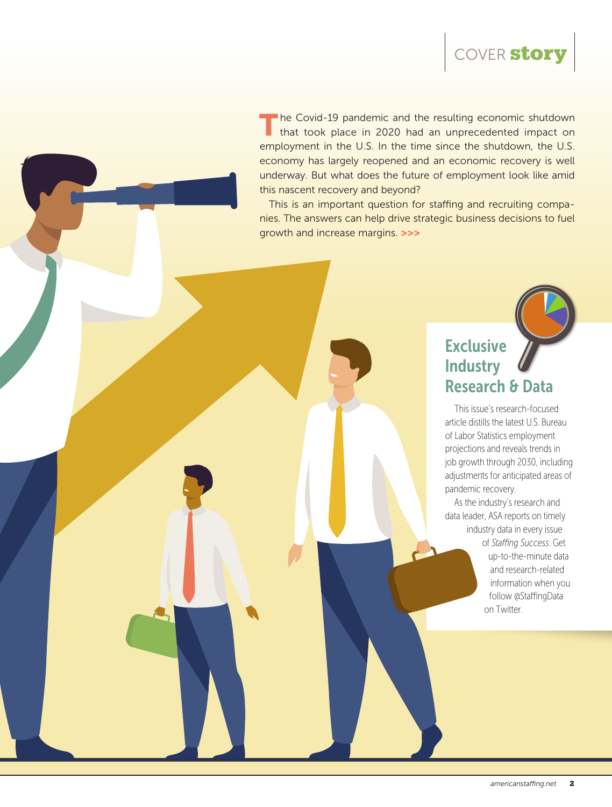

The Covid-19 pandemic and the resulting economic shutdown that took place in 2020 had an unprecedented impact on employment in the U.S. In the time since the shutdown, the U.S. economy has largely reopened and an economic recovery is well underway. But what does the future of employment look like amid this nascent recovery and beyond?

This is an important question for staffing and recruiting companies. The answers can help drive strategic business decisions to fuel growth and increase margins. >>>

## **Exclusive Industry** Research & Data

This issue's research-focused article distills the latest U.S. Bureau of Labor Statistics employment projections and reveals trends in job growth through 2030, including adjustments for anticipated areas of pandemic recovery.

As the industry's research and data leader, ASA reports on timely industry data in every issue of *Staffing Success*. Get up-to-the-minute data and research-related information when you follow @StaffingData on Twitter.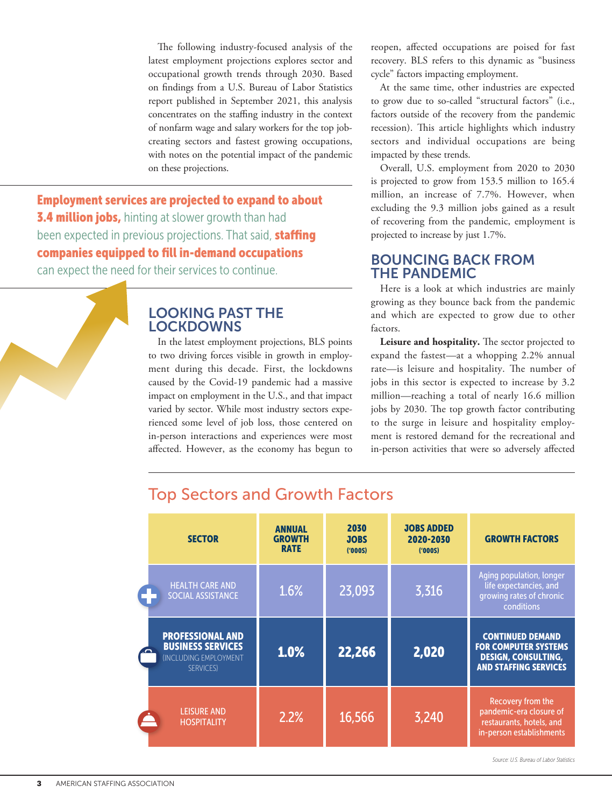The following industry-focused analysis of the latest employment projections explores sector and occupational growth trends through 2030. Based on findings from a U.S. Bureau of Labor Statistics report published in September 2021, this analysis concentrates on the staffing industry in the context of nonfarm wage and salary workers for the top jobcreating sectors and fastest growing occupations, with notes on the potential impact of the pandemic on these projections.

Employment services are projected to expand to about **3.4 million jobs, hinting at slower growth than had** been expected in previous projections. That said, **staffing** companies equipped to fill in-demand occupations can expect the need for their services to continue.

#### LOOKING PAST THE LOCKDOWNS

In the latest employment projections, BLS points to two driving forces visible in growth in employment during this decade. First, the lockdowns caused by the Covid-19 pandemic had a massive impact on employment in the U.S., and that impact varied by sector. While most industry sectors experienced some level of job loss, those centered on in-person interactions and experiences were most affected. However, as the economy has begun to

reopen, affected occupations are poised for fast recovery. BLS refers to this dynamic as "business cycle" factors impacting employment.

At the same time, other industries are expected to grow due to so-called "structural factors" (i.e., factors outside of the recovery from the pandemic recession). This article highlights which industry sectors and individual occupations are being impacted by these trends.

Overall, U.S. employment from 2020 to 2030 is projected to grow from 153.5 million to 165.4 million, an increase of 7.7%. However, when excluding the 9.3 million jobs gained as a result of recovering from the pandemic, employment is projected to increase by just 1.7%.

#### BOUNCING BACK FROM THE PANDEMIC

Here is a look at which industries are mainly growing as they bounce back from the pandemic and which are expected to grow due to other factors.

**Leisure and hospitality.** The sector projected to expand the fastest—at a whopping 2.2% annual rate—is leisure and hospitality. The number of jobs in this sector is expected to increase by 3.2 million—reaching a total of nearly 16.6 million jobs by 2030. The top growth factor contributing to the surge in leisure and hospitality employment is restored demand for the recreational and in-person activities that were so adversely affected

|            | <b>SECTOR</b>                                                                                          | <b>ANNUAL</b><br><b>GROWTH</b><br><b>RATE</b> | 2030<br><b>JOBS</b><br>(000S) | <b>JOBS ADDED</b><br>2020-2030<br>(000S) | <b>GROWTH FACTORS</b>                                                                                                |
|------------|--------------------------------------------------------------------------------------------------------|-----------------------------------------------|-------------------------------|------------------------------------------|----------------------------------------------------------------------------------------------------------------------|
|            | <b>HEALTH CARE AND</b><br><b>SOCIAL ASSISTANCE</b>                                                     | 1.6%                                          | 23,093                        | 3,316                                    | Aging population, longer<br>life expectancies, and<br>growing rates of chronic<br>conditions                         |
| $\sqrt{2}$ | <b>PROFESSIONAL AND</b><br><b>BUSINESS SERVICES</b><br><b>INCLUDING EMPLOYMENT</b><br><b>SERVICES)</b> | 1.0%                                          | 22,266                        | 2,020                                    | <b>CONTINUED DEMAND</b><br><b>FOR COMPUTER SYSTEMS</b><br><b>DESIGN, CONSULTING,</b><br><b>AND STAFFING SERVICES</b> |
|            | <b>LEISURE AND</b><br><b>HOSPITALITY</b>                                                               | 2.2%                                          | 16,566                        | 3,240                                    | Recovery from the<br>pandemic-era closure of<br>restaurants, hotels, and<br>in-person establishments                 |

## Top Sectors and Growth Factors

*Source: U.S. Bureau of Labor Statistics*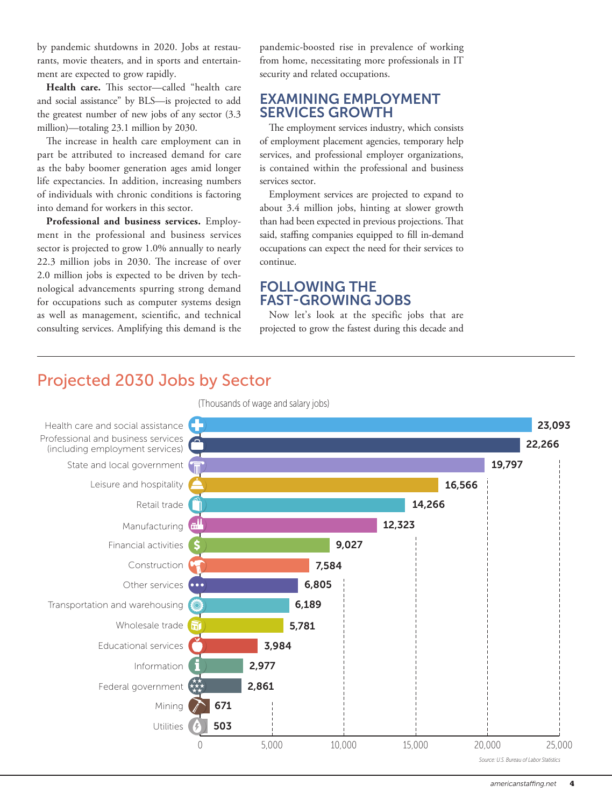by pandemic shutdowns in 2020. Jobs at restaurants, movie theaters, and in sports and entertainment are expected to grow rapidly.

**Health care.** This sector—called "health care and social assistance" by BLS—is projected to add the greatest number of new jobs of any sector (3.3 million)—totaling 23.1 million by 2030.

The increase in health care employment can in part be attributed to increased demand for care as the baby boomer generation ages amid longer life expectancies. In addition, increasing numbers of individuals with chronic conditions is factoring into demand for workers in this sector.

**Professional and business services.** Employment in the professional and business services sector is projected to grow 1.0% annually to nearly 22.3 million jobs in 2030. The increase of over 2.0 million jobs is expected to be driven by technological advancements spurring strong demand for occupations such as computer systems design as well as management, scientific, and technical consulting services. Amplifying this demand is the

pandemic-boosted rise in prevalence of working from home, necessitating more professionals in IT security and related occupations.

#### EXAMINING EMPLOYMENT SERVICES GROWTH

The employment services industry, which consists of employment placement agencies, temporary help services, and professional employer organizations, is contained within the professional and business services sector.

Employment services are projected to expand to about 3.4 million jobs, hinting at slower growth than had been expected in previous projections. That said, staffing companies equipped to fill in-demand occupations can expect the need for their services to continue.

#### FOLLOWING THE FAST-GROWING JOBS

Now let's look at the specific jobs that are projected to grow the fastest during this decade and

## Projected 2030 Jobs by Sector

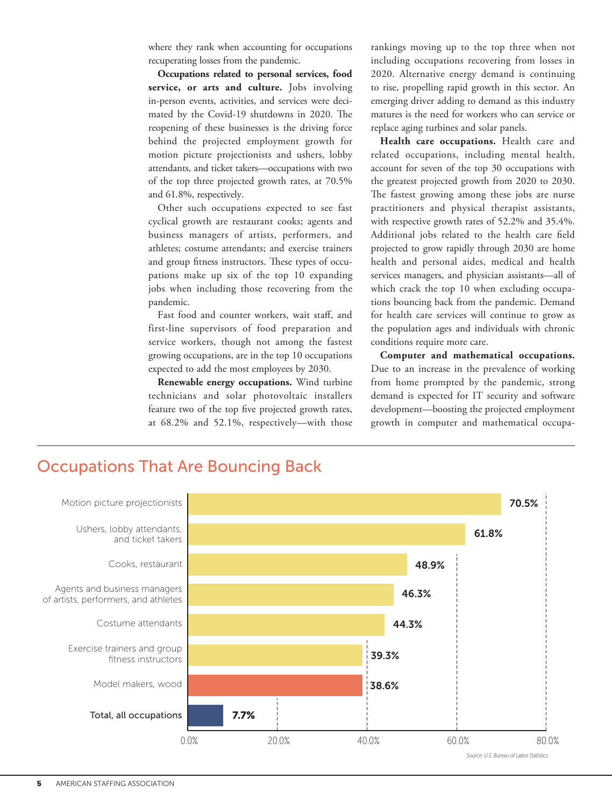where they rank when accounting for occupations recuperating losses from the pandemic.

**Occupations related to personal services, food service, or arts and culture.** Jobs involving in-person events, activities, and services were decimated by the Covid-19 shutdowns in 2020. The reopening of these businesses is the driving force behind the projected employment growth for motion picture projectionists and ushers, lobby attendants, and ticket takers—occupations with two of the top three projected growth rates, at 70.5% and 61.8%, respectively.

Other such occupations expected to see fast cyclical growth are restaurant cooks; agents and business managers of artists, performers, and athletes; costume attendants; and exercise trainers and group fitness instructors. These types of occupations make up six of the top 10 expanding jobs when including those recovering from the pandemic.

Fast food and counter workers, wait staff, and first-line supervisors of food preparation and service workers, though not among the fastest growing occupations, are in the top 10 occupations expected to add the most employees by 2030.

**Renewable energy occupations.** Wind turbine technicians and solar photovoltaic installers feature two of the top five projected growth rates, at 68.2% and 52.1%, respectively—with those

rankings moving up to the top three when not including occupations recovering from losses in 2020. Alternative energy demand is continuing to rise, propelling rapid growth in this sector. An emerging driver adding to demand as this industry matures is the need for workers who can service or replace aging turbines and solar panels.

**Health care occupations.** Health care and related occupations, including mental health, account for seven of the top 30 occupations with the greatest projected growth from 2020 to 2030. The fastest growing among these jobs are nurse practitioners and physical therapist assistants, with respective growth rates of 52.2% and 35.4%. Additional jobs related to the health care field projected to grow rapidly through 2030 are home health and personal aides, medical and health services managers, and physician assistants—all of which crack the top 10 when excluding occupations bouncing back from the pandemic. Demand for health care services will continue to grow as the population ages and individuals with chronic conditions require more care.

**Computer and mathematical occupations.** Due to an increase in the prevalence of working from home prompted by the pandemic, strong demand is expected for IT security and software development—boosting the projected employment growth in computer and mathematical occupa-



## Occupations That Are Bouncing Back